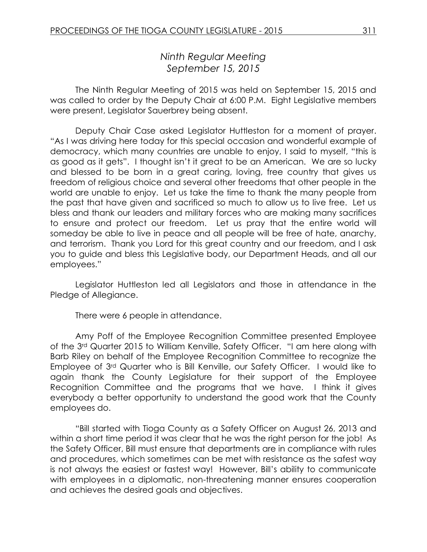# *Ninth Regular Meeting September 15, 2015*

The Ninth Regular Meeting of 2015 was held on September 15, 2015 and was called to order by the Deputy Chair at 6:00 P.M. Eight Legislative members were present, Legislator Sauerbrey being absent.

Deputy Chair Case asked Legislator Huttleston for a moment of prayer. "As I was driving here today for this special occasion and wonderful example of democracy, which many countries are unable to enjoy, I said to myself, "this is as good as it gets". I thought isn't it great to be an American. We are so lucky and blessed to be born in a great caring, loving, free country that gives us freedom of religious choice and several other freedoms that other people in the world are unable to enjoy. Let us take the time to thank the many people from the past that have given and sacrificed so much to allow us to live free. Let us bless and thank our leaders and military forces who are making many sacrifices to ensure and protect our freedom. Let us pray that the entire world will someday be able to live in peace and all people will be free of hate, anarchy, and terrorism. Thank you Lord for this great country and our freedom, and I ask you to guide and bless this Legislative body, our Department Heads, and all our employees."

Legislator Huttleston led all Legislators and those in attendance in the Pledge of Allegiance.

There were 6 people in attendance.

Amy Poff of the Employee Recognition Committee presented Employee of the 3rd Quarter 2015 to William Kenville, Safety Officer. "I am here along with Barb Riley on behalf of the Employee Recognition Committee to recognize the Employee of 3rd Quarter who is Bill Kenville, our Safety Officer. I would like to again thank the County Legislature for their support of the Employee Recognition Committee and the programs that we have. I think it gives everybody a better opportunity to understand the good work that the County employees do.

"Bill started with Tioga County as a Safety Officer on August 26, 2013 and within a short time period it was clear that he was the right person for the job! As the Safety Officer, Bill must ensure that departments are in compliance with rules and procedures, which sometimes can be met with resistance as the safest way is not always the easiest or fastest way! However, Bill's ability to communicate with employees in a diplomatic, non-threatening manner ensures cooperation and achieves the desired goals and objectives.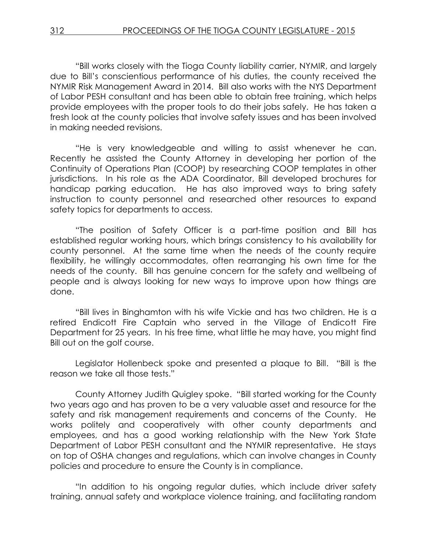"Bill works closely with the Tioga County liability carrier, NYMIR, and largely due to Bill's conscientious performance of his duties, the county received the NYMIR Risk Management Award in 2014. Bill also works with the NYS Department of Labor PESH consultant and has been able to obtain free training, which helps provide employees with the proper tools to do their jobs safely. He has taken a fresh look at the county policies that involve safety issues and has been involved in making needed revisions.

"He is very knowledgeable and willing to assist whenever he can. Recently he assisted the County Attorney in developing her portion of the Continuity of Operations Plan (COOP) by researching COOP templates in other jurisdictions. In his role as the ADA Coordinator, Bill developed brochures for handicap parking education. He has also improved ways to bring safety instruction to county personnel and researched other resources to expand safety topics for departments to access.

"The position of Safety Officer is a part-time position and Bill has established regular working hours, which brings consistency to his availability for county personnel. At the same time when the needs of the county require flexibility, he willingly accommodates, often rearranging his own time for the needs of the county. Bill has genuine concern for the safety and wellbeing of people and is always looking for new ways to improve upon how things are done.

"Bill lives in Binghamton with his wife Vickie and has two children. He is a retired Endicott Fire Captain who served in the Village of Endicott Fire Department for 25 years. In his free time, what little he may have, you might find Bill out on the golf course.

Legislator Hollenbeck spoke and presented a plaque to Bill. "Bill is the reason we take all those tests."

County Attorney Judith Quigley spoke. "Bill started working for the County two years ago and has proven to be a very valuable asset and resource for the safety and risk management requirements and concerns of the County. He works politely and cooperatively with other county departments and employees, and has a good working relationship with the New York State Department of Labor PESH consultant and the NYMIR representative. He stays on top of OSHA changes and regulations, which can involve changes in County policies and procedure to ensure the County is in compliance.

"In addition to his ongoing regular duties, which include driver safety training, annual safety and workplace violence training, and facilitating random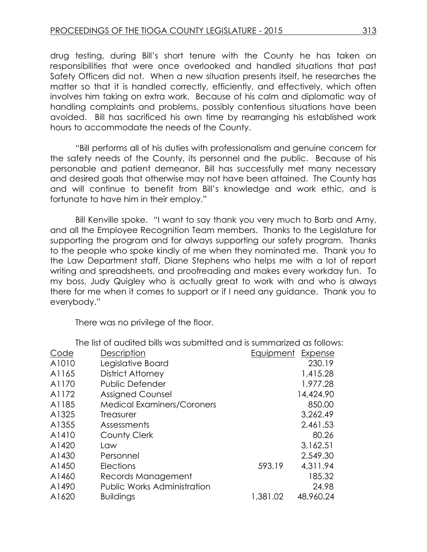drug testing, during Bill's short tenure with the County he has taken on responsibilities that were once overlooked and handled situations that past Safety Officers did not. When a new situation presents itself, he researches the matter so that it is handled correctly, efficiently, and effectively, which often involves him taking on extra work. Because of his calm and diplomatic way of handling complaints and problems, possibly contentious situations have been avoided. Bill has sacrificed his own time by rearranging his established work hours to accommodate the needs of the County.

"Bill performs all of his duties with professionalism and genuine concern for the safety needs of the County, its personnel and the public. Because of his personable and patient demeanor, Bill has successfully met many necessary and desired goals that otherwise may not have been attained. The County has and will continue to benefit from Bill's knowledge and work ethic, and is fortunate to have him in their employ."

Bill Kenville spoke. "I want to say thank you very much to Barb and Amy, and all the Employee Recognition Team members. Thanks to the Legislature for supporting the program and for always supporting our safety program. Thanks to the people who spoke kindly of me when they nominated me. Thank you to the Law Department staff, Diane Stephens who helps me with a lot of report writing and spreadsheets, and proofreading and makes every workday fun. To my boss, Judy Quigley who is actually great to work with and who is always there for me when it comes to support or if I need any guidance. Thank you to everybody."

There was no privilege of the floor.

|       | THE IST OF QUAITED DIIS WAS SUDITIFIED OND IS SUITIFIQITZED AS TOIJOWS |           |           |
|-------|------------------------------------------------------------------------|-----------|-----------|
| Code  | Description                                                            | Equipment | Expense   |
| A1010 | Legislative Board                                                      |           | 230.19    |
| A1165 | <b>District Attorney</b>                                               |           | 1,415.28  |
| A1170 | <b>Public Defender</b>                                                 |           | 1,977.28  |
| A1172 | <b>Assigned Counsel</b>                                                |           | 14,424.90 |
| A1185 | <b>Medical Examiners/Coroners</b>                                      |           | 850.00    |
| A1325 | Treasurer                                                              |           | 3,262.49  |
| A1355 | Assessments                                                            |           | 2,461.53  |
| A1410 | County Clerk                                                           |           | 80.26     |
| A1420 | Law                                                                    |           | 3,162.51  |
| A1430 | Personnel                                                              |           | 2,549.30  |
| A1450 | <b>Elections</b>                                                       | 593.19    | 4,311.94  |
| A1460 | Records Management                                                     |           | 185.32    |
| A1490 | <b>Public Works Administration</b>                                     |           | 24.98     |
| A1620 | <b>Buildings</b>                                                       | 1,381.02  | 48,960.24 |

The list of audited bills was submitted and is summarized as follows: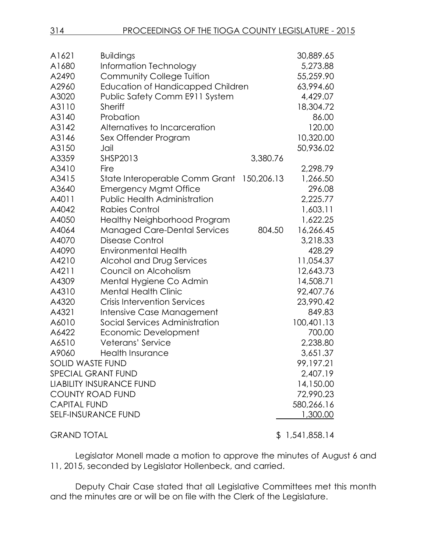| 314 | <b>PROCEEDINGS OF THE TIOGA COUNTY LEGISLATURE - 2015</b> |
|-----|-----------------------------------------------------------|
|     |                                                           |

| A1621                     | <b>Buildings</b>                    |            | 30,889.65      |
|---------------------------|-------------------------------------|------------|----------------|
| A1680                     | Information Technology              |            | 5,273.88       |
| A2490                     | Community College Tuition           |            | 55,259.90      |
| A2960                     | Education of Handicapped Children   |            | 63,994.60      |
| A3020                     | Public Safety Comm E911 System      |            | 4,429.07       |
| A3110                     | <b>Sheriff</b>                      |            | 18,304.72      |
| A3140                     | Probation                           |            | 86.00          |
| A3142                     | Alternatives to Incarceration       |            | 120.00         |
| A3146                     | Sex Offender Program                |            | 10,320.00      |
| A3150                     | Jail                                |            | 50,936.02      |
| A3359                     | SHSP2013                            | 3,380.76   |                |
| A3410                     | Fire                                |            | 2,298.79       |
| A3415                     | State Interoperable Comm Grant      | 150,206.13 | 1,266.50       |
| A3640                     | <b>Emergency Mgmt Office</b>        |            | 296.08         |
| A4011                     | <b>Public Health Administration</b> |            | 2,225.77       |
| A4042                     | <b>Rabies Control</b>               |            | 1,603.11       |
| A4050                     | Healthy Neighborhood Program        |            | 1,622.25       |
| A4064                     | <b>Managed Care-Dental Services</b> | 804.50     | 16,266.45      |
| A4070                     | Disease Control                     |            | 3,218.33       |
| A4090                     | <b>Environmental Health</b>         |            | 428.29         |
| A4210                     | Alcohol and Drug Services           |            | 11,054.37      |
| A4211                     | Council on Alcoholism               |            | 12,643.73      |
| A4309                     | Mental Hygiene Co Admin             |            | 14,508.71      |
| A4310                     | <b>Mental Health Clinic</b>         |            | 92,407.76      |
| A4320                     | <b>Crisis Intervention Services</b> |            | 23,990.42      |
| A4321                     | Intensive Case Management           |            | 849.83         |
| A6010                     | Social Services Administration      |            | 100,401.13     |
| A6422                     | Economic Development                |            | 700.00         |
| A6510                     | Veterans' Service                   |            | 2,238.80       |
| A9060                     | <b>Health Insurance</b>             |            | 3,651.37       |
| <b>SOLID WASTE FUND</b>   |                                     |            | 99,197.21      |
| <b>SPECIAL GRANT FUND</b> |                                     |            | 2,407.19       |
|                           | <b>LIABILITY INSURANCE FUND</b>     |            | 14,150.00      |
| <b>COUNTY ROAD FUND</b>   |                                     |            | 72,990.23      |
| <b>CAPITAL FUND</b>       |                                     | 580,266.16 |                |
| SELF-INSURANCE FUND       |                                     |            | 1,300.00       |
| <b>GRAND TOTAL</b>        |                                     |            | \$1,541,858.14 |

Legislator Monell made a motion to approve the minutes of August 6 and 11, 2015, seconded by Legislator Hollenbeck, and carried.

Deputy Chair Case stated that all Legislative Committees met this month and the minutes are or will be on file with the Clerk of the Legislature.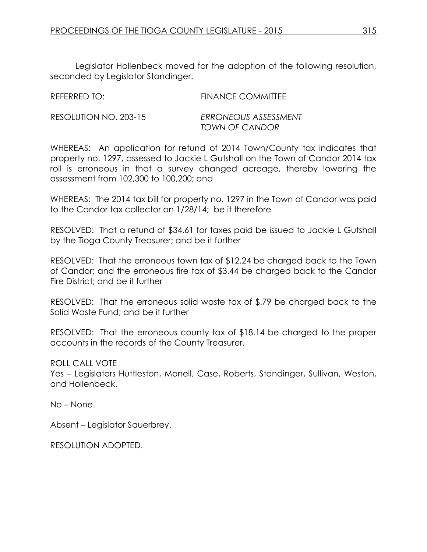Legislator Hollenbeck moved for the adoption of the following resolution, seconded by Legislator Standinger.

| REFERRED TO:          | FINANCE COMMITTEE                             |
|-----------------------|-----------------------------------------------|
| RESOLUTION NO. 203-15 | ERRONEOUS ASSESSMENT<br><b>TOWN OF CANDOR</b> |

WHEREAS: An application for refund of 2014 Town/County tax indicates that property no. 1297, assessed to Jackie L Gutshall on the Town of Candor 2014 tax roll is erroneous in that a survey changed acreage, thereby lowering the assessment from 102,300 to 100,200; and

WHEREAS: The 2014 tax bill for property no. 1297 in the Town of Candor was paid to the Candor tax collector on 1/28/14; be it therefore

RESOLVED: That a refund of \$34.61 for taxes paid be issued to Jackie L Gutshall by the Tioga County Treasurer; and be it further

RESOLVED: That the erroneous town tax of \$12.24 be charged back to the Town of Candor; and the erroneous fire tax of \$3.44 be charged back to the Candor Fire District; and be it further

RESOLVED: That the erroneous solid waste tax of \$.79 be charged back to the Solid Waste Fund; and be it further

RESOLVED: That the erroneous county tax of \$18.14 be charged to the proper accounts in the records of the County Treasurer.

### ROLL CALL VOTE

Yes – Legislators Huttleston, Monell, Case, Roberts, Standinger, Sullivan, Weston, and Hollenbeck.

No – None.

Absent – Legislator Sauerbrey.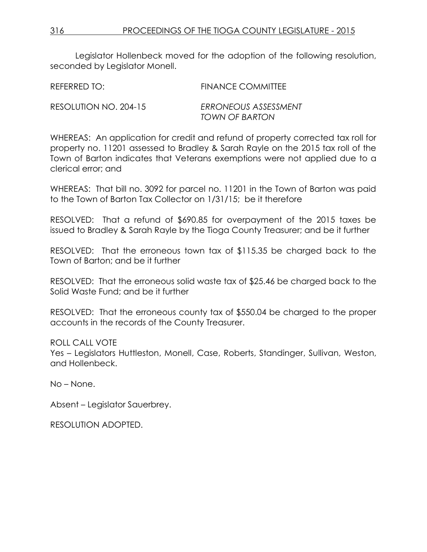Legislator Hollenbeck moved for the adoption of the following resolution, seconded by Legislator Monell.

REFERRED TO: FINANCE COMMITTEE RESOLUTION NO. 204-15 *ERRONEOUS ASSESSMENT TOWN OF BARTON*

WHEREAS: An application for credit and refund of property corrected tax roll for property no. 11201 assessed to Bradley & Sarah Rayle on the 2015 tax roll of the Town of Barton indicates that Veterans exemptions were not applied due to a clerical error; and

WHEREAS: That bill no. 3092 for parcel no. 11201 in the Town of Barton was paid to the Town of Barton Tax Collector on 1/31/15; be it therefore

RESOLVED: That a refund of \$690.85 for overpayment of the 2015 taxes be issued to Bradley & Sarah Rayle by the Tioga County Treasurer; and be it further

RESOLVED: That the erroneous town tax of \$115.35 be charged back to the Town of Barton; and be it further

RESOLVED: That the erroneous solid waste tax of \$25.46 be charged back to the Solid Waste Fund; and be it further

RESOLVED: That the erroneous county tax of \$550.04 be charged to the proper accounts in the records of the County Treasurer.

### ROLL CALL VOTE

Yes – Legislators Huttleston, Monell, Case, Roberts, Standinger, Sullivan, Weston, and Hollenbeck.

No – None.

Absent – Legislator Sauerbrey.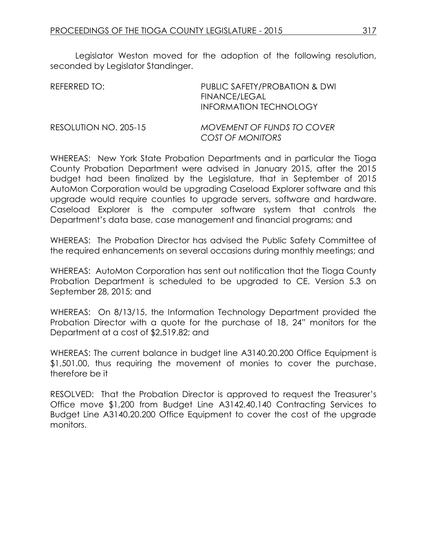Legislator Weston moved for the adoption of the following resolution, seconded by Legislator Standinger.

| REFERRED TO:          | PUBLIC SAFETY/PROBATION & DWI<br><b>FINANCE/LEGAL</b><br>INFORMATION TECHNOLOGY |
|-----------------------|---------------------------------------------------------------------------------|
| RESOLUTION NO. 205-15 | <b>MOVEMENT OF FUNDS TO COVER</b><br>COST OF MONITORS                           |

WHEREAS: New York State Probation Departments and in particular the Tioga County Probation Department were advised in January 2015, after the 2015 budget had been finalized by the Legislature, that in September of 2015 AutoMon Corporation would be upgrading Caseload Explorer software and this upgrade would require counties to upgrade servers, software and hardware. Caseload Explorer is the computer software system that controls the Department's data base, case management and financial programs; and

WHEREAS: The Probation Director has advised the Public Safety Committee of the required enhancements on several occasions during monthly meetings; and

WHEREAS: AutoMon Corporation has sent out notification that the Tioga County Probation Department is scheduled to be upgraded to CE. Version 5.3 on September 28, 2015; and

WHEREAS: On 8/13/15, the Information Technology Department provided the Probation Director with a quote for the purchase of 18, 24" monitors for the Department at a cost of \$2,519.82; and

WHEREAS: The current balance in budget line A3140.20.200 Office Equipment is \$1,501.00, thus requiring the movement of monies to cover the purchase, therefore be it

RESOLVED: That the Probation Director is approved to request the Treasurer's Office move \$1,200 from Budget Line A3142.40.140 Contracting Services to Budget Line A3140.20.200 Office Equipment to cover the cost of the upgrade monitors.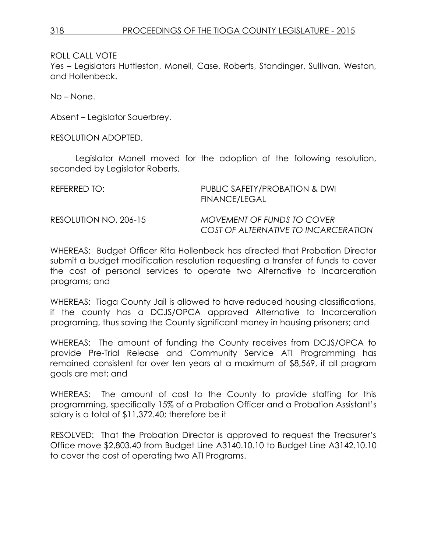Yes – Legislators Huttleston, Monell, Case, Roberts, Standinger, Sullivan, Weston, and Hollenbeck.

No – None.

Absent – Legislator Sauerbrey.

RESOLUTION ADOPTED.

Legislator Monell moved for the adoption of the following resolution, seconded by Legislator Roberts.

| REFERRED TO: I        | PUBLIC SAFETY/PROBATION & DWI<br>FINANCE/LEGAL                     |
|-----------------------|--------------------------------------------------------------------|
| RESOLUTION NO. 206-15 | MOVEMENT OF FUNDS TO COVER<br>COST OF ALTERNATIVE TO INCARCERATION |

WHEREAS: Budget Officer Rita Hollenbeck has directed that Probation Director submit a budget modification resolution requesting a transfer of funds to cover the cost of personal services to operate two Alternative to Incarceration programs; and

WHEREAS: Tioga County Jail is allowed to have reduced housing classifications, if the county has a DCJS/OPCA approved Alternative to Incarceration programing, thus saving the County significant money in housing prisoners; and

WHEREAS: The amount of funding the County receives from DCJS/OPCA to provide Pre-Trial Release and Community Service ATI Programming has remained consistent for over ten years at a maximum of \$8,569, if all program goals are met; and

WHEREAS: The amount of cost to the County to provide staffing for this programming, specifically 15% of a Probation Officer and a Probation Assistant's salary is a total of \$11,372.40; therefore be it

RESOLVED: That the Probation Director is approved to request the Treasurer's Office move \$2,803.40 from Budget Line A3140.10.10 to Budget Line A3142.10.10 to cover the cost of operating two ATI Programs.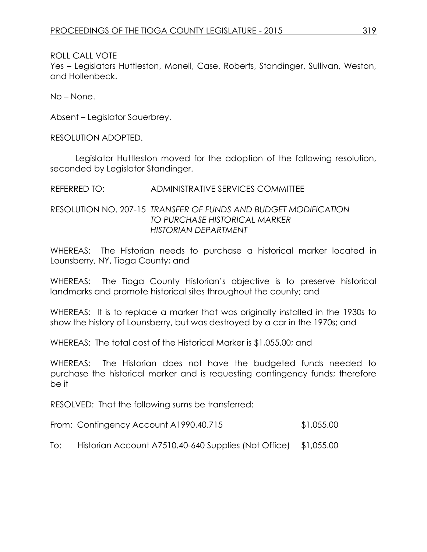Yes – Legislators Huttleston, Monell, Case, Roberts, Standinger, Sullivan, Weston, and Hollenbeck.

No – None.

Absent – Legislator Sauerbrey.

RESOLUTION ADOPTED.

Legislator Huttleston moved for the adoption of the following resolution, seconded by Legislator Standinger.

REFERRED TO: ADMINISTRATIVE SERVICES COMMITTEE

RESOLUTION NO. 207-15 *TRANSFER OF FUNDS AND BUDGET MODIFICATION TO PURCHASE HISTORICAL MARKER HISTORIAN DEPARTMENT*

WHEREAS: The Historian needs to purchase a historical marker located in Lounsberry, NY, Tioga County; and

WHEREAS: The Tioga County Historian's objective is to preserve historical landmarks and promote historical sites throughout the county; and

WHEREAS: It is to replace a marker that was originally installed in the 1930s to show the history of Lounsberry, but was destroyed by a car in the 1970s; and

WHEREAS: The total cost of the Historical Marker is \$1,055.00; and

WHEREAS: The Historian does not have the budgeted funds needed to purchase the historical marker and is requesting contingency funds; therefore be it

RESOLVED: That the following sums be transferred:

| From: Contingency Account A1990.40.715 | \$1,055.00 |
|----------------------------------------|------------|
|----------------------------------------|------------|

To: Historian Account A7510.40-640 Supplies (Not Office) \$1,055.00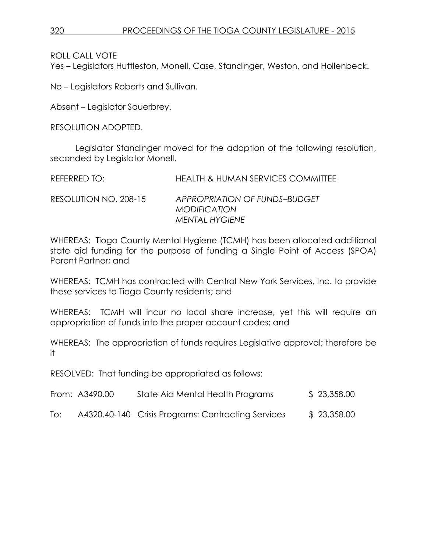Yes – Legislators Huttleston, Monell, Case, Standinger, Weston, and Hollenbeck.

No – Legislators Roberts and Sullivan.

Absent – Legislator Sauerbrey.

RESOLUTION ADOPTED.

Legislator Standinger moved for the adoption of the following resolution, seconded by Legislator Monell.

| REFERRED TO:          | <b>HEALTH &amp; HUMAN SERVICES COMMITTEE</b>                           |
|-----------------------|------------------------------------------------------------------------|
| RESOLUTION NO. 208-15 | APPROPRIATION OF FUNDS-BUDGET<br><b>MODIFICATION</b><br>MENTAL HYGIENE |

WHEREAS: Tioga County Mental Hygiene (TCMH) has been allocated additional state aid funding for the purpose of funding a Single Point of Access (SPOA) Parent Partner; and

WHEREAS: TCMH has contracted with Central New York Services, Inc. to provide these services to Tioga County residents; and

WHEREAS: TCMH will incur no local share increase, yet this will require an appropriation of funds into the proper account codes; and

WHEREAS: The appropriation of funds requires Legislative approval; therefore be it

RESOLVED: That funding be appropriated as follows:

|     | From: A3490.00 | State Aid Mental Health Programs                   | \$23,358.00 |
|-----|----------------|----------------------------------------------------|-------------|
| To: |                | A4320.40-140 Crisis Programs: Contracting Services | \$23,358.00 |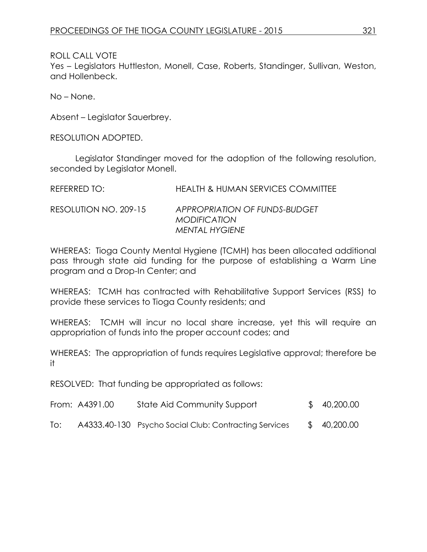Yes – Legislators Huttleston, Monell, Case, Roberts, Standinger, Sullivan, Weston, and Hollenbeck.

No – None.

Absent – Legislator Sauerbrey.

RESOLUTION ADOPTED.

Legislator Standinger moved for the adoption of the following resolution, seconded by Legislator Monell.

| REFERRED TO:          | HEALTH & HUMAN SERVICES COMMITTEE                                             |
|-----------------------|-------------------------------------------------------------------------------|
| RESOLUTION NO. 209-15 | APPROPRIATION OF FUNDS-BUDGET<br><b>MODIFICATION</b><br><b>MENTAL HYGIENE</b> |

WHEREAS: Tioga County Mental Hygiene (TCMH) has been allocated additional pass through state aid funding for the purpose of establishing a Warm Line program and a Drop-In Center; and

WHEREAS: TCMH has contracted with Rehabilitative Support Services (RSS) to provide these services to Tioga County residents; and

WHEREAS: TCMH will incur no local share increase, yet this will require an appropriation of funds into the proper account codes; and

WHEREAS: The appropriation of funds requires Legislative approval; therefore be it

RESOLVED: That funding be appropriated as follows:

|     | From: A4391.00 | State Aid Community Support                           | \$40,200.00  |
|-----|----------------|-------------------------------------------------------|--------------|
| To: |                | A4333.40-130 Psycho Social Club: Contracting Services | \$ 40,200.00 |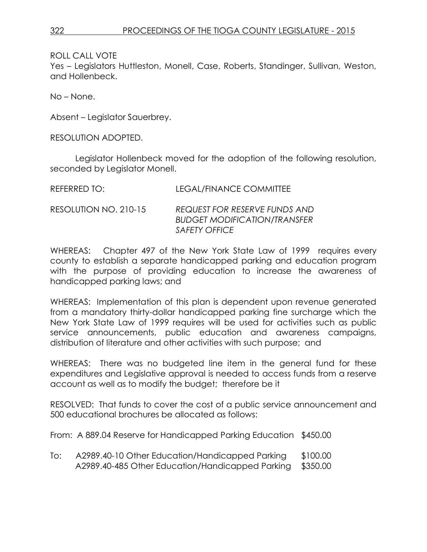Yes – Legislators Huttleston, Monell, Case, Roberts, Standinger, Sullivan, Weston, and Hollenbeck.

No – None.

Absent – Legislator Sauerbrey.

RESOLUTION ADOPTED.

Legislator Hollenbeck moved for the adoption of the following resolution, seconded by Legislator Monell.

| REFERRED TO:          | LEGAL/FINANCE COMMITTEE                                                                      |
|-----------------------|----------------------------------------------------------------------------------------------|
| RESOLUTION NO. 210-15 | REQUEST FOR RESERVE FUNDS AND<br><b>BUDGET MODIFICATION/TRANSFER</b><br><i>SAFETY OFFICE</i> |

WHEREAS: Chapter 497 of the New York State Law of 1999 requires every county to establish a separate handicapped parking and education program with the purpose of providing education to increase the awareness of handicapped parking laws; and

WHEREAS: Implementation of this plan is dependent upon revenue generated from a mandatory thirty-dollar handicapped parking fine surcharge which the New York State Law of 1999 requires will be used for activities such as public service announcements, public education and awareness campaigns, distribution of literature and other activities with such purpose; and

WHEREAS: There was no budgeted line item in the general fund for these expenditures and Legislative approval is needed to access funds from a reserve account as well as to modify the budget; therefore be it

RESOLVED: That funds to cover the cost of a public service announcement and 500 educational brochures be allocated as follows:

From: A 889.04 Reserve for Handicapped Parking Education \$450.00

To: A2989.40-10 Other Education/Handicapped Parking \$100.00 A2989.40-485 Other Education/Handicapped Parking \$350.00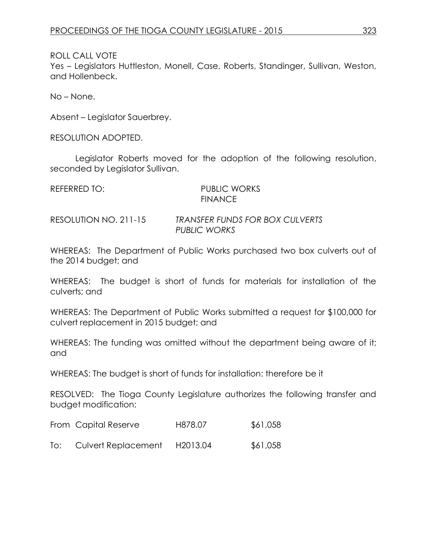Yes – Legislators Huttleston, Monell, Case, Roberts, Standinger, Sullivan, Weston, and Hollenbeck.

No – None.

Absent – Legislator Sauerbrey.

RESOLUTION ADOPTED.

Legislator Roberts moved for the adoption of the following resolution, seconded by Legislator Sullivan.

| REFERRED TO:          | PUBLIC WORKS<br><b>FINANCE</b>                  |
|-----------------------|-------------------------------------------------|
| RESOLUTION NO. 211-15 | TRANSFER FUNDS FOR BOX CULVERTS<br>PUBLIC WORKS |

WHEREAS: The Department of Public Works purchased two box culverts out of the 2014 budget; and

WHEREAS: The budget is short of funds for materials for installation of the culverts; and

WHEREAS: The Department of Public Works submitted a request for \$100,000 for culvert replacement in 2015 budget; and

WHEREAS: The funding was omitted without the department being aware of it; and

WHEREAS: The budget is short of funds for installation: therefore be it

RESOLVED: The Tioga County Legislature authorizes the following transfer and budget modification:

| From Capital Reserve | H878.07 | \$61,058 |
|----------------------|---------|----------|
|----------------------|---------|----------|

To: Culvert Replacement H2013.04 \$61,058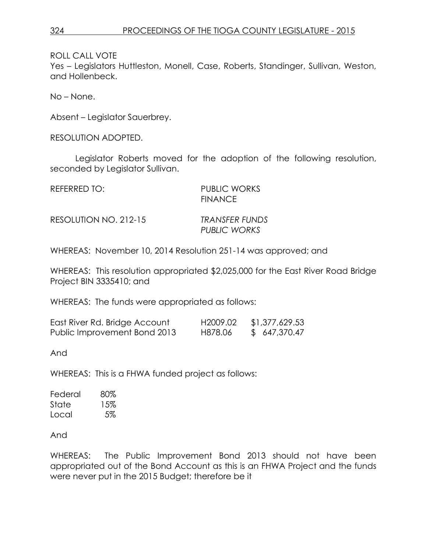Yes – Legislators Huttleston, Monell, Case, Roberts, Standinger, Sullivan, Weston, and Hollenbeck.

No – None.

Absent – Legislator Sauerbrey.

RESOLUTION ADOPTED.

Legislator Roberts moved for the adoption of the following resolution, seconded by Legislator Sullivan.

| REFERRED TO:          | <b>PUBLIC WORKS</b><br><b>FINANCE</b> |
|-----------------------|---------------------------------------|
| RESOLUTION NO. 212-15 | TRANSFER FUNDS<br>PUBLIC WORKS        |

WHEREAS: November 10, 2014 Resolution 251-14 was approved; and

WHEREAS: This resolution appropriated \$2,025,000 for the East River Road Bridge Project BIN 3335410; and

WHEREAS: The funds were appropriated as follows:

| East River Rd. Bridge Account | H <sub>2009</sub> .02 | \$1,377,629.53 |
|-------------------------------|-----------------------|----------------|
| Public Improvement Bond 2013  | H878.06               | \$647,370.47   |

And

WHEREAS: This is a FHWA funded project as follows:

| Federal | 80% |
|---------|-----|
| State   | 15% |
| Local   | 5%  |

And

WHEREAS: The Public Improvement Bond 2013 should not have been appropriated out of the Bond Account as this is an FHWA Project and the funds were never put in the 2015 Budget; therefore be it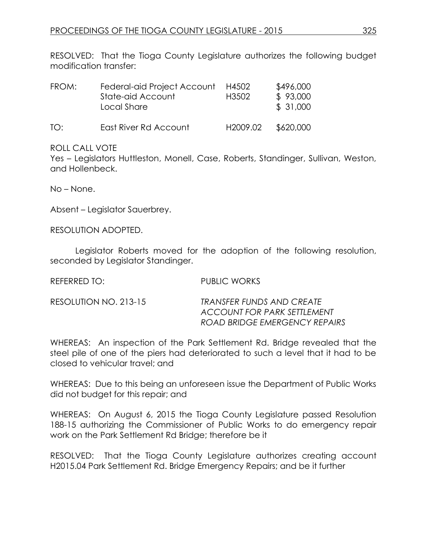RESOLVED: That the Tioga County Legislature authorizes the following budget modification transfer:

| FROM: | Federal-aid Project Account<br>State-aid Account<br>Local Share | H4502<br>H <sub>3502</sub> | \$496,000<br>\$93,000<br>\$31,000 |
|-------|-----------------------------------------------------------------|----------------------------|-----------------------------------|
| TO:   | East River Rd Account                                           | H2009.02                   | \$620,000                         |

#### ROLL CALL VOTE

Yes – Legislators Huttleston, Monell, Case, Roberts, Standinger, Sullivan, Weston, and Hollenbeck.

No – None.

Absent – Legislator Sauerbrey.

RESOLUTION ADOPTED.

Legislator Roberts moved for the adoption of the following resolution, seconded by Legislator Standinger.

REFERRED TO: PUBLIC WORKS RESOLUTION NO. 213-15 *TRANSFER FUNDS AND CREATE ACCOUNT FOR PARK SETTLEMENT*

*ROAD BRIDGE EMERGENCY REPAIRS* WHEREAS: An inspection of the Park Settlement Rd. Bridge revealed that the

steel pile of one of the piers had deteriorated to such a level that it had to be closed to vehicular travel; and

WHEREAS: Due to this being an unforeseen issue the Department of Public Works did not budget for this repair; and

WHEREAS: On August 6, 2015 the Tioga County Legislature passed Resolution 188-15 authorizing the Commissioner of Public Works to do emergency repair work on the Park Settlement Rd Bridge; therefore be it

RESOLVED: That the Tioga County Legislature authorizes creating account H2015.04 Park Settlement Rd. Bridge Emergency Repairs; and be it further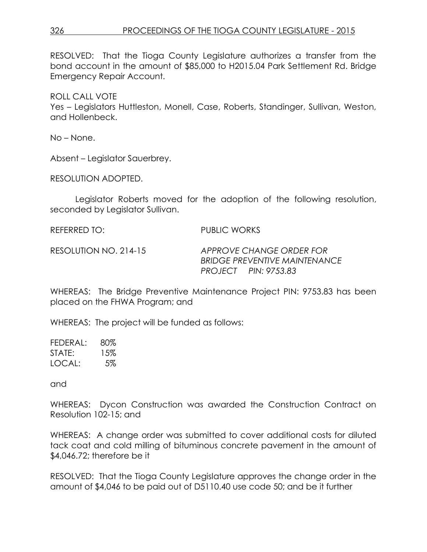# 326 PROCEEDINGS OF THE TIOGA COUNTY LEGISLATURE - 2015

RESOLVED: That the Tioga County Legislature authorizes a transfer from the bond account in the amount of \$85,000 to H2015.04 Park Settlement Rd. Bridge Emergency Repair Account.

ROLL CALL VOTE Yes – Legislators Huttleston, Monell, Case, Roberts, Standinger, Sullivan, Weston, and Hollenbeck.

No – None.

Absent – Legislator Sauerbrey.

RESOLUTION ADOPTED.

Legislator Roberts moved for the adoption of the following resolution, seconded by Legislator Sullivan.

REFERRED TO: PUBLIC WORKS

RESOLUTION NO. 214-15 *APPROVE CHANGE ORDER FOR BRIDGE PREVENTIVE MAINTENANCE PROJECT PIN: 9753.83*

WHEREAS: The Bridge Preventive Maintenance Project PIN: 9753.83 has been placed on the FHWA Program; and

WHEREAS: The project will be funded as follows:

FEDERAL: 80% STATE: 15% LOCAL: 5%

and

WHEREAS: Dycon Construction was awarded the Construction Contract on Resolution 102-15; and

WHEREAS: A change order was submitted to cover additional costs for diluted tack coat and cold milling of bituminous concrete pavement in the amount of \$4,046.72; therefore be it

RESOLVED: That the Tioga County Legislature approves the change order in the amount of \$4,046 to be paid out of D5110.40 use code 50; and be it further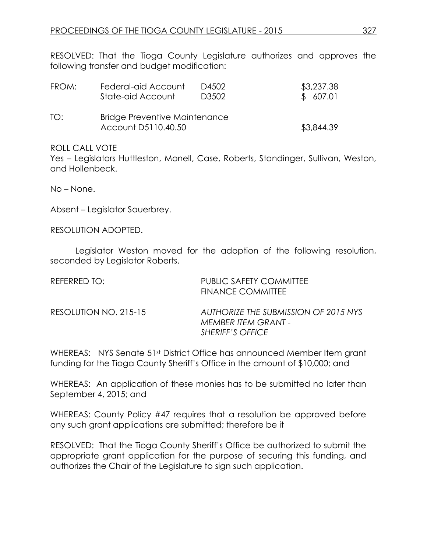RESOLVED: That the Tioga County Legislature authorizes and approves the following transfer and budget modification:

| FROM: | Federal-aid Account                                         | D4502 | \$3,237.38 |
|-------|-------------------------------------------------------------|-------|------------|
|       | State-aid Account                                           | D3502 | \$607.01   |
| TO:   | <b>Bridge Preventive Maintenance</b><br>Account D5110.40.50 |       | \$3,844.39 |

#### ROLL CALL VOTE

Yes – Legislators Huttleston, Monell, Case, Roberts, Standinger, Sullivan, Weston, and Hollenbeck.

No – None.

Absent – Legislator Sauerbrey.

RESOLUTION ADOPTED.

Legislator Weston moved for the adoption of the following resolution, seconded by Legislator Roberts.

| REFERRED TO:          | <b>PUBLIC SAFETY COMMITTEE</b><br>FINANCE COMMITTEE                                    |
|-----------------------|----------------------------------------------------------------------------------------|
| RESOLUTION NO. 215-15 | AUTHORIZE THE SUBMISSION OF 2015 NYS<br>MEMBER ITEM GRANT -<br><b>SHERIFF'S OFFICE</b> |

WHEREAS: NYS Senate 51st District Office has announced Member Item grant funding for the Tioga County Sheriff's Office in the amount of \$10,000; and

WHEREAS: An application of these monies has to be submitted no later than September 4, 2015; and

WHEREAS: County Policy #47 requires that a resolution be approved before any such grant applications are submitted; therefore be it

RESOLVED: That the Tioga County Sheriff's Office be authorized to submit the appropriate grant application for the purpose of securing this funding, and authorizes the Chair of the Legislature to sign such application.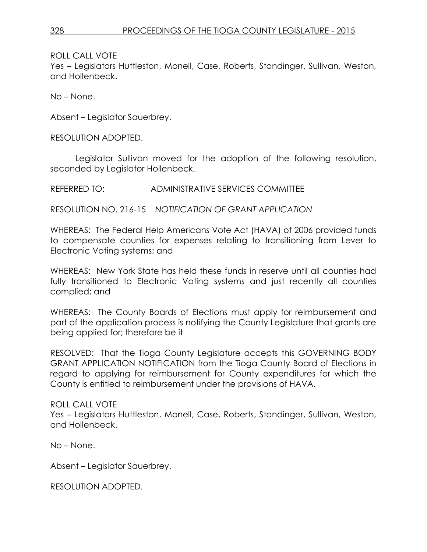Yes – Legislators Huttleston, Monell, Case, Roberts, Standinger, Sullivan, Weston, and Hollenbeck.

No – None.

Absent – Legislator Sauerbrey.

RESOLUTION ADOPTED.

Legislator Sullivan moved for the adoption of the following resolution, seconded by Legislator Hollenbeck.

REFERRED TO: ADMINISTRATIVE SERVICES COMMITTEE

RESOLUTION NO. 216-15 *NOTIFICATION OF GRANT APPLICATION*

WHEREAS: The Federal Help Americans Vote Act (HAVA) of 2006 provided funds to compensate counties for expenses relating to transitioning from Lever to Electronic Voting systems; and

WHEREAS: New York State has held these funds in reserve until all counties had fully transitioned to Electronic Voting systems and just recently all counties complied; and

WHEREAS: The County Boards of Elections must apply for reimbursement and part of the application process is notifying the County Legislature that grants are being applied for; therefore be it

RESOLVED: That the Tioga County Legislature accepts this GOVERNING BODY GRANT APPLICATION NOTIFICATION from the Tioga County Board of Elections in regard to applying for reimbursement for County expenditures for which the County is entitled to reimbursement under the provisions of HAVA.

ROLL CALL VOTE

Yes – Legislators Huttleston, Monell, Case, Roberts, Standinger, Sullivan, Weston, and Hollenbeck.

No – None.

Absent – Legislator Sauerbrey.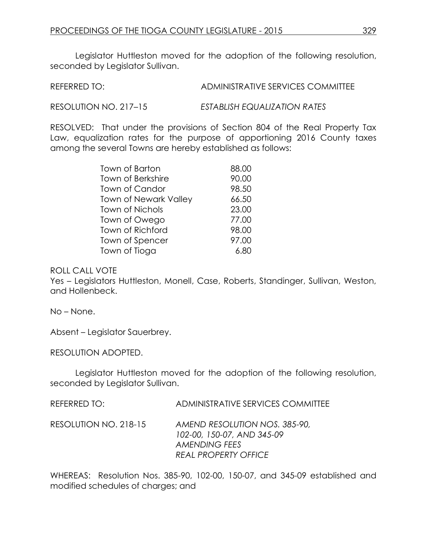Legislator Huttleston moved for the adoption of the following resolution, seconded by Legislator Sullivan.

REFERRED TO: ADMINISTRATIVE SERVICES COMMITTEE

RESOLUTION NO. 217–15 *ESTABLISH EQUALIZATION RATES*

RESOLVED: That under the provisions of Section 804 of the Real Property Tax Law, equalization rates for the purpose of apportioning 2016 County taxes among the several Towns are hereby established as follows:

| Town of Barton               | 88.00 |
|------------------------------|-------|
| <b>Town of Berkshire</b>     | 90.00 |
| <b>Town of Candor</b>        | 98.50 |
| <b>Town of Newark Valley</b> | 66.50 |
| <b>Town of Nichols</b>       | 23.00 |
| Town of Owego                | 77.00 |
| Town of Richford             | 98.00 |
| Town of Spencer              | 97.00 |
| Town of Tioga                | 6.80  |

ROLL CALL VOTE

Yes – Legislators Huttleston, Monell, Case, Roberts, Standinger, Sullivan, Weston, and Hollenbeck.

No – None.

Absent – Legislator Sauerbrey.

RESOLUTION ADOPTED.

Legislator Huttleston moved for the adoption of the following resolution, seconded by Legislator Sullivan.

| REFERRED TO: I        | ADMINISTRATIVE SERVICES COMMITTEE                                                                                  |
|-----------------------|--------------------------------------------------------------------------------------------------------------------|
| RESOLUTION NO. 218-15 | AMEND RESOLUTION NOS. 385-90,<br>102-00, 150-07, AND 345-09<br><b>AMENDING FEES</b><br><b>REAL PROPERTY OFFICE</b> |

WHEREAS: Resolution Nos. 385-90, 102-00, 150-07, and 345-09 established and modified schedules of charges; and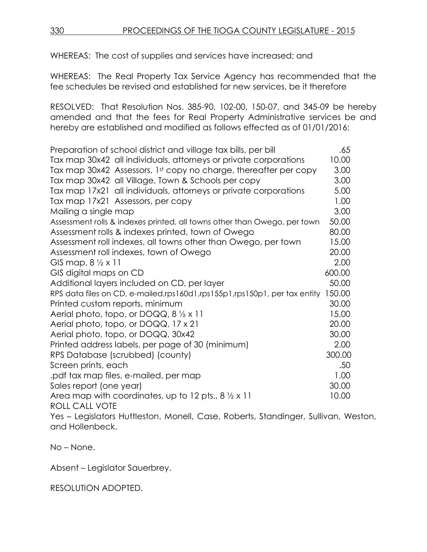WHEREAS: The cost of supplies and services have increased; and

WHEREAS: The Real Property Tax Service Agency has recommended that the fee schedules be revised and established for new services, be it therefore

RESOLVED: That Resolution Nos. 385-90, 102-00, 150-07, and 345-09 be hereby amended and that the fees for Real Property Administrative services be and hereby are established and modified as follows effected as of 01/01/2016:

| Preparation of school district and village tax bills, per bill                     | .65    |
|------------------------------------------------------------------------------------|--------|
| Tax map 30x42 all individuals, attorneys or private corporations                   | 10.00  |
| Tax map 30x42 Assessors, 1st copy no charge, thereafter per copy                   | 3.00   |
| Tax map 30x42 all Village, Town & Schools per copy                                 | 3.00   |
| Tax map 17x21 all individuals, attorneys or private corporations                   | 5.00   |
| Tax map 17x21 Assessors, per copy                                                  | 1.00   |
| Mailing a single map                                                               | 3.00   |
| Assessment rolls & indexes printed, all towns other than Owego, per town           | 50.00  |
| Assessment rolls & indexes printed, town of Owego                                  | 80.00  |
| Assessment roll indexes, all towns other than Owego, per town                      | 15.00  |
| Assessment roll indexes, town of Owego                                             | 20.00  |
| GIS map, $8\frac{1}{2} \times 11$                                                  | 2.00   |
| GIS digital maps on CD                                                             | 600.00 |
| Additional layers included on CD, per layer                                        | 50.00  |
| RPS data files on CD, e-mailed,rps160d1,rps155p1,rps150p1, per tax entity          | 150.00 |
| Printed custom reports, minimum                                                    | 30.00  |
| Aerial photo, topo, or DOQQ, $8\frac{1}{2} \times 11$                              | 15.00  |
| Aerial photo, topo, or DOQQ, 17 x 21                                               | 20.00  |
| Aerial photo, topo, or DOQQ, 30x42                                                 | 30.00  |
| Printed address labels, per page of 30 (minimum)                                   | 2.00   |
| RPS Database (scrubbed) (county)                                                   | 300.00 |
| Screen prints, each                                                                | .50    |
| pdf tax map files, e-mailed, per map.                                              | 1.00   |
| Sales report (one year)                                                            | 30.00  |
| Area map with coordinates, up to 12 pts., $8\frac{1}{2} \times 11$                 | 10.00  |
| <b>ROLL CALL VOTE</b>                                                              |        |
| Yes – Legislators Huttleston, Monell, Case, Roberts, Standinger, Sullivan, Weston, |        |
| and Hollenbeck.                                                                    |        |

No – None.

Absent – Legislator Sauerbrey.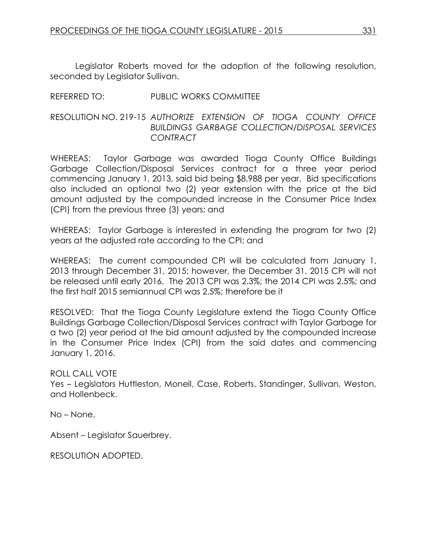Legislator Roberts moved for the adoption of the following resolution, seconded by Legislator Sullivan.

## REFERRED TO: PUBLIC WORKS COMMITTEE

### RESOLUTION NO. 219-15 *AUTHORIZE EXTENSION OF TIOGA COUNTY OFFICE BUILDINGS GARBAGE COLLECTION/DISPOSAL SERVICES CONTRACT*

WHEREAS: Taylor Garbage was awarded Tioga County Office Buildings Garbage Collection/Disposal Services contract for a three year period commencing January 1, 2013, said bid being \$8,988 per year. Bid specifications also included an optional two (2) year extension with the price at the bid amount adjusted by the compounded increase in the Consumer Price Index (CPI) from the previous three (3) years; and

WHEREAS: Taylor Garbage is interested in extending the program for two (2) years at the adjusted rate according to the CPI; and

WHEREAS: The current compounded CPI will be calculated from January 1, 2013 through December 31, 2015; however, the December 31, 2015 CPI will not be released until early 2016. The 2013 CPI was 2.3%; the 2014 CPI was 2.5%; and the first half 2015 semiannual CPI was 2.5%; therefore be it

RESOLVED: That the Tioga County Legislature extend the Tioga County Office Buildings Garbage Collection/Disposal Services contract with Taylor Garbage for a two (2) year period at the bid amount adjusted by the compounded increase in the Consumer Price Index (CPI) from the said dates and commencing January 1, 2016.

#### ROLL CALL VOTE

Yes – Legislators Huttleston, Monell, Case, Roberts, Standinger, Sullivan, Weston, and Hollenbeck.

No – None.

Absent – Legislator Sauerbrey.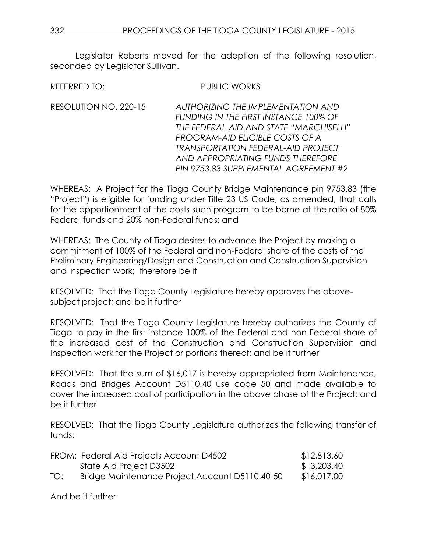Legislator Roberts moved for the adoption of the following resolution, seconded by Legislator Sullivan.

REFERRED TO: PUBLIC WORKS

RESOLUTION NO. 220-15 *AUTHORIZING THE IMPLEMENTATION AND FUNDING IN THE FIRST INSTANCE 100% OF THE FEDERAL-AID AND STATE "MARCHISELLI" PROGRAM-AID ELIGIBLE COSTS OF A TRANSPORTATION FEDERAL-AID PROJECT AND APPROPRIATING FUNDS THEREFORE PIN 9753.83 SUPPLEMENTAL AGREEMENT #2*

WHEREAS: A Project for the Tioga County Bridge Maintenance pin 9753.83 (the "Project") is eligible for funding under Title 23 US Code, as amended, that calls for the apportionment of the costs such program to be borne at the ratio of 80% Federal funds and 20% non-Federal funds; and

WHEREAS: The County of Tioga desires to advance the Project by making a commitment of 100% of the Federal and non-Federal share of the costs of the Preliminary Engineering/Design and Construction and Construction Supervision and Inspection work; therefore be it

RESOLVED: That the Tioga County Legislature hereby approves the abovesubject project; and be it further

RESOLVED: That the Tioga County Legislature hereby authorizes the County of Tioga to pay in the first instance 100% of the Federal and non-Federal share of the increased cost of the Construction and Construction Supervision and Inspection work for the Project or portions thereof; and be it further

RESOLVED: That the sum of \$16,017 is hereby appropriated from Maintenance, Roads and Bridges Account D5110.40 use code 50 and made available to cover the increased cost of participation in the above phase of the Project; and be it further

RESOLVED: That the Tioga County Legislature authorizes the following transfer of funds:

|     | FROM: Federal Aid Projects Account D4502       | \$12,813.60 |
|-----|------------------------------------------------|-------------|
|     | State Aid Project D3502                        | \$ 3,203.40 |
| TO: | Bridge Maintenance Project Account D5110.40-50 | \$16,017.00 |

And be it further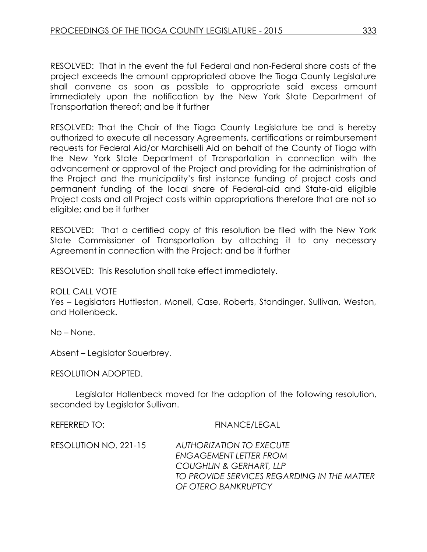RESOLVED: That in the event the full Federal and non-Federal share costs of the project exceeds the amount appropriated above the Tioga County Legislature shall convene as soon as possible to appropriate said excess amount immediately upon the notification by the New York State Department of Transportation thereof; and be it further

RESOLVED: That the Chair of the Tioga County Legislature be and is hereby authorized to execute all necessary Agreements, certifications or reimbursement requests for Federal Aid/or Marchiselli Aid on behalf of the County of Tioga with the New York State Department of Transportation in connection with the advancement or approval of the Project and providing for the administration of the Project and the municipality's first instance funding of project costs and permanent funding of the local share of Federal-aid and State-aid eligible Project costs and all Project costs within appropriations therefore that are not so eligible; and be it further

RESOLVED: That a certified copy of this resolution be filed with the New York State Commissioner of Transportation by attaching it to any necessary Agreement in connection with the Project; and be it further

RESOLVED: This Resolution shall take effect immediately.

#### ROLL CALL VOTE

Yes – Legislators Huttleston, Monell, Case, Roberts, Standinger, Sullivan, Weston, and Hollenbeck.

No – None.

Absent – Legislator Sauerbrey.

RESOLUTION ADOPTED.

Legislator Hollenbeck moved for the adoption of the following resolution, seconded by Legislator Sullivan.

REFERRED TO: FINANCE/LEGAL

RESOLUTION NO. 221-15 *AUTHORIZATION TO EXECUTE ENGAGEMENT LETTER FROM COUGHLIN & GERHART, LLP TO PROVIDE SERVICES REGARDING IN THE MATTER OF OTERO BANKRUPTCY*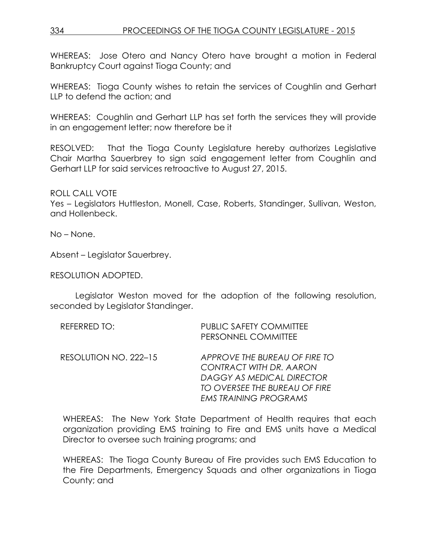WHEREAS: Jose Otero and Nancy Otero have brought a motion in Federal Bankruptcy Court against Tioga County; and

WHEREAS: Tioga County wishes to retain the services of Coughlin and Gerhart LLP to defend the action; and

WHEREAS: Coughlin and Gerhart LLP has set forth the services they will provide in an engagement letter; now therefore be it

RESOLVED: That the Tioga County Legislature hereby authorizes Legislative Chair Martha Sauerbrey to sign said engagement letter from Coughlin and Gerhart LLP for said services retroactive to August 27, 2015.

ROLL CALL VOTE

Yes – Legislators Huttleston, Monell, Case, Roberts, Standinger, Sullivan, Weston, and Hollenbeck.

No – None.

Absent – Legislator Sauerbrey.

RESOLUTION ADOPTED.

Legislator Weston moved for the adoption of the following resolution, seconded by Legislator Standinger.

| REFERRED TO:          | <b>PUBLIC SAFETY COMMITTEE</b><br>PERSONNEL COMMITTEE                                                                                                  |
|-----------------------|--------------------------------------------------------------------------------------------------------------------------------------------------------|
| RESOLUTION NO. 222–15 | APPROVE THE BUREAU OF FIRE TO<br>CONTRACT WITH DR. AARON<br>DAGGY AS MEDICAL DIRECTOR<br>TO OVERSEE THE BUREAU OF FIRE<br><b>EMS TRAINING PROGRAMS</b> |

WHEREAS: The New York State Department of Health requires that each organization providing EMS training to Fire and EMS units have a Medical Director to oversee such training programs; and

WHEREAS: The Tioga County Bureau of Fire provides such EMS Education to the Fire Departments, Emergency Squads and other organizations in Tioga County; and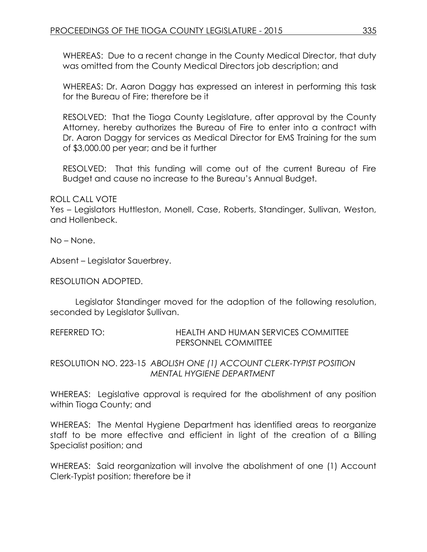WHEREAS: Due to a recent change in the County Medical Director, that duty was omitted from the County Medical Directors job description; and

WHEREAS: Dr. Aaron Daggy has expressed an interest in performing this task for the Bureau of Fire; therefore be it

RESOLVED: That the Tioga County Legislature, after approval by the County Attorney, hereby authorizes the Bureau of Fire to enter into a contract with Dr. Aaron Daggy for services as Medical Director for EMS Training for the sum of \$3,000.00 per year; and be it further

RESOLVED: That this funding will come out of the current Bureau of Fire Budget and cause no increase to the Bureau's Annual Budget.

ROLL CALL VOTE

Yes – Legislators Huttleston, Monell, Case, Roberts, Standinger, Sullivan, Weston, and Hollenbeck.

No – None.

Absent – Legislator Sauerbrey.

RESOLUTION ADOPTED.

Legislator Standinger moved for the adoption of the following resolution, seconded by Legislator Sullivan.

REFERRED TO: HEALTH AND HUMAN SERVICES COMMITTEE PERSONNEL COMMITTEE

RESOLUTION NO. 223-15 *ABOLISH ONE (1) ACCOUNT CLERK-TYPIST POSITION MENTAL HYGIENE DEPARTMENT*

WHEREAS: Legislative approval is required for the abolishment of any position within Tioga County; and

WHEREAS: The Mental Hygiene Department has identified areas to reorganize staff to be more effective and efficient in light of the creation of a Billing Specialist position; and

WHEREAS: Said reorganization will involve the abolishment of one (1) Account Clerk-Typist position; therefore be it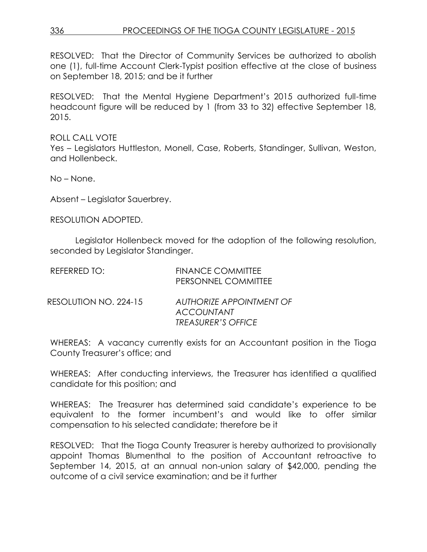RESOLVED: That the Director of Community Services be authorized to abolish one (1), full-time Account Clerk-Typist position effective at the close of business on September 18, 2015; and be it further

RESOLVED: That the Mental Hygiene Department's 2015 authorized full-time headcount figure will be reduced by 1 (from 33 to 32) effective September 18, 2015.

ROLL CALL VOTE Yes – Legislators Huttleston, Monell, Case, Roberts, Standinger, Sullivan, Weston, and Hollenbeck.

No – None.

Absent – Legislator Sauerbrey.

RESOLUTION ADOPTED.

Legislator Hollenbeck moved for the adoption of the following resolution, seconded by Legislator Standinger.

| REFERRED TO:          | <b>FINANCE COMMITTEE</b><br>PERSONNEL COMMITTEE                            |
|-----------------------|----------------------------------------------------------------------------|
| RESOLUTION NO. 224-15 | AUTHORIZE APPOINTMENT OF<br><b>ACCOUNTANT</b><br><b>TREASURER'S OFFICE</b> |

WHEREAS: A vacancy currently exists for an Accountant position in the Tioga County Treasurer's office; and

WHEREAS: After conducting interviews, the Treasurer has identified a qualified candidate for this position; and

WHEREAS: The Treasurer has determined said candidate's experience to be equivalent to the former incumbent's and would like to offer similar compensation to his selected candidate; therefore be it

RESOLVED: That the Tioga County Treasurer is hereby authorized to provisionally appoint Thomas Blumenthal to the position of Accountant retroactive to September 14, 2015, at an annual non-union salary of \$42,000, pending the outcome of a civil service examination; and be it further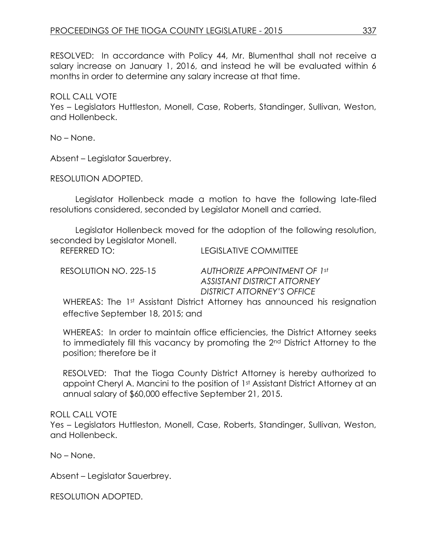RESOLVED: In accordance with Policy 44, Mr. Blumenthal shall not receive a salary increase on January 1, 2016, and instead he will be evaluated within 6 months in order to determine any salary increase at that time.

#### ROLL CALL VOTE

Yes – Legislators Huttleston, Monell, Case, Roberts, Standinger, Sullivan, Weston, and Hollenbeck.

No – None.

Absent – Legislator Sauerbrey.

RESOLUTION ADOPTED.

Legislator Hollenbeck made a motion to have the following late-filed resolutions considered, seconded by Legislator Monell and carried.

Legislator Hollenbeck moved for the adoption of the following resolution, seconded by Legislator Monell.

REFERRED TO: LEGISLATIVE COMMITTEE

RESOLUTION NO. 225-15 *AUTHORIZE APPOINTMENT OF 1st ASSISTANT DISTRICT ATTORNEY DISTRICT ATTORNEY'S OFFICE*

WHEREAS: The 1st Assistant District Attorney has announced his resignation effective September 18, 2015; and

WHEREAS: In order to maintain office efficiencies, the District Attorney seeks to immediately fill this vacancy by promoting the 2nd District Attorney to the position; therefore be it

RESOLVED: That the Tioga County District Attorney is hereby authorized to appoint Cheryl A. Mancini to the position of 1st Assistant District Attorney at an annual salary of \$60,000 effective September 21, 2015.

### ROLL CALL VOTE

Yes – Legislators Huttleston, Monell, Case, Roberts, Standinger, Sullivan, Weston, and Hollenbeck.

No – None.

Absent – Legislator Sauerbrey.